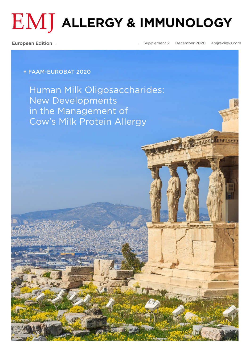# $EMJ$  allergy & immunology

European Edition

Supplement 2 December 202[0 emjreviews.com](https://www.emjreviews.com/
)

#### + FAAM-EUROBAT 2020

[Human Milk Oligosaccharides:](#page-1-0)  New Developments in the Management of Cow's Milk Protein Allergy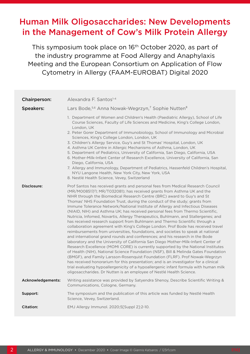## <span id="page-1-0"></span>Human Milk Oligosaccharides: New Developments in the Management of Cow's Milk Protein Allergy

This symposium took place on 16<sup>th</sup> October 2020, as part of the industry programme at Food Allergy and Anaphylaxis Meeting and the European Consortium on Application of Flow Cytometry in Allergy (FAAM-EUROBAT) Digital 2020

| Chairperson:      | Alexandra F. Santos <sup>1-4</sup>                                                                                                                                                                                                                                                                                                                                                                                                                                                                                                                                                                                                                                                                                                                                                                                                                                                                                                                                                                                                                                                                                                                                                                                                                                                                                                                                                                                                                                                                                              |
|-------------------|---------------------------------------------------------------------------------------------------------------------------------------------------------------------------------------------------------------------------------------------------------------------------------------------------------------------------------------------------------------------------------------------------------------------------------------------------------------------------------------------------------------------------------------------------------------------------------------------------------------------------------------------------------------------------------------------------------------------------------------------------------------------------------------------------------------------------------------------------------------------------------------------------------------------------------------------------------------------------------------------------------------------------------------------------------------------------------------------------------------------------------------------------------------------------------------------------------------------------------------------------------------------------------------------------------------------------------------------------------------------------------------------------------------------------------------------------------------------------------------------------------------------------------|
| <b>Speakers:</b>  | Lars Bode, <sup>5,6</sup> Anna Nowak-Wegrzyn, <sup>7</sup> Sophie Nutten <sup>8</sup>                                                                                                                                                                                                                                                                                                                                                                                                                                                                                                                                                                                                                                                                                                                                                                                                                                                                                                                                                                                                                                                                                                                                                                                                                                                                                                                                                                                                                                           |
|                   | 1. Department of Women and Children's Health (Paediatric Allergy), School of Life<br>Course Sciences, Faculty of Life Sciences and Medicine, King's College London,<br>London, UK<br>2. Peter Gorer Department of Immunobiology, School of Immunology and Microbial<br>Sciences, King's College London, London, UK<br>3. Children's Allergy Service, Guy's and St Thomas' Hospital, London, UK<br>4. Asthma UK Centre in Allergic Mechanisms of Asthma, London, UK<br>5. Department of Pediatrics, University of California, San Diego, California, USA<br>6. Mother-Milk-Infant Center of Research Excellence, University of California, San<br>Diego, California, USA<br>7. Allergy and Immunology, Department of Pediatrics, Hassenfeld Children's Hospital,<br>NYU Langone Health, New York City, New York, USA<br>8. Nestlé Health Science, Vevey, Switzerland                                                                                                                                                                                                                                                                                                                                                                                                                                                                                                                                                                                                                                                             |
| Disclosure:       | Prof Santos has received grants and personal fees from Medical Research Council<br>(MR/M008517/1; MR/T032081); has received grants from Asthma UK and the<br>NIHR through the Biomedical Research Centre (BRC) award to Guy's and St<br>Thomas' NHS Foundation Trust, during the conduct of the study; grants from<br>Immune Tolerance Network/National Institute of Allergy and Infectious Diseases<br>(NIAID, NIH) and Asthma UK; has received personal fees from Thermo Scientific,<br>Nutricia, Infomed, Novartis, Allergy Therapeutics, Buhlmann, and Stallergenes; and<br>has received research support from Buhlmann and Thermo Scientific through a<br>collaboration agreement with King's College London. Prof Bode has received travel<br>reimbursements from universities, foundations, and societies to speak at national<br>and international grand rounds and conferences; and his research in the Bode<br>laboratory and the University of California San Diego Mother-Milk-Infant Center of<br>Research Excellence (MOMI CORE) is currently supported by the National Institutes<br>of Health (NIH), National Science Foundation (NSF), Bill & Melinda Gates Foundation<br>(BMGF), and Family Larsson-Rosenquist Foundation (FLRF). Prof Nowak-Wegrzyn<br>has received honorarium for this presentation; and is an investigator for a clinical<br>trial evaluating hypoallergenicity of a hypoallergenic infant formula with human milk<br>oligosaccharides. Dr Nutten is an employee of Nestlé Health Science. |
| Acknowledgements: | Writing assistance was provided by Satyendra Shenoy, Describe Scientific Writing &<br>Communications, Cologne, Germany.                                                                                                                                                                                                                                                                                                                                                                                                                                                                                                                                                                                                                                                                                                                                                                                                                                                                                                                                                                                                                                                                                                                                                                                                                                                                                                                                                                                                         |
| Support:          | The symposium and the publication of this article was funded by Nestlé Health<br>Science, Vevey, Switzerland.                                                                                                                                                                                                                                                                                                                                                                                                                                                                                                                                                                                                                                                                                                                                                                                                                                                                                                                                                                                                                                                                                                                                                                                                                                                                                                                                                                                                                   |
| <b>Citation:</b>  | EMJ Allergy Immunol. 2020;5[Suppl 2]:2-10.                                                                                                                                                                                                                                                                                                                                                                                                                                                                                                                                                                                                                                                                                                                                                                                                                                                                                                                                                                                                                                                                                                                                                                                                                                                                                                                                                                                                                                                                                      |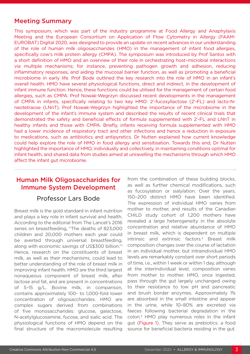### Meeting Summary

This symposium, which was part of the industry programme at Food Allergy and Anaphylaxis Meeting and the European Consortium on Application of Flow Cytometry in Allergy (FAAM-EUROBAT) Digital 2020, was designed to provide an update on recent advances in our understanding of the role of human milk oligosaccharides (HMO) in the management of infant food allergies, specifically cow's milk protein allergy (CMPA). The symposium was introduced by Prof Santos with a short definition of HMO and an overview of their role in orchestrating host–microbial interactions via multiple mechanisms; for instance, preventing pathogen growth and adhesion, reducing inflammatory responses, and aiding the mucosal barrier function, as well as promoting a beneficial microbiome in early life. Prof Bode outlined the key research into the role of HMO in an infant's overall health. HMO have several physiological functions, direct and indirect, in the development of infant immune function. Hence, these functions could be utilised for the management of certain food allergies, such as CMPA. Prof Nowak-Wegrzyn discussed recent developments in the management of CMPA in infants, specifically relating to two key HMO: 2'-fucosyllactose (2'-FL) and lacto-Nneotetraose (LNnT). Prof Nowak-Wegrzyn highlighted the importance of the microbiome in the development of the infant's immune system and described the results of recent clinical trials that demonstrated the safety and beneficial effects of formula supplemented with 2'-FL and LNnT in healthy infants and those with CMPA. Briefly, infants receiving formula supplemented with HMO had a lower incidence of respiratory tract and other infections and hence a reduction in exposure to medications, such as antibiotics and antipyretics. Dr Nutten explained how current knowledge could help explore the role of HMO in food allergy and sensitisation. Towards this end, Dr Nutten highlighted the importance of HMO, individually and collectively, in maintaining conditions optimal for infant health, and shared data from studies aimed at unravelling the mechanisms through which HMO affect the infant gut microbiome.

## Human Milk Oligosaccharides for Immune System Development

### Professor Lars Bode

Breast milk is the gold standard in infant nutrition and plays a key role in infant survival and health. According to the editorial from The Lancet's 2016 series on breastfeeding, "The deaths of 823,000 children and 20,000 mothers each year could be averted through universal breastfeeding, along with economic savings of US\$300 billion."1 Hence, research on the constituents of breast milk, as well as their mechanisms, could lead to better understanding of the role of breast milk in improving infant health. HMO are the third largest nonaqueous component of breast milk, after lactose and fat, and are present in concentrations of 5–15 g/L. Bovine milk, in comparison, contains approximately 100- to 1,000-fold lower concentration of oligosaccharides. HMO are complex sugars derived from combinations of five monosaccharides: glucose, galactose, N-acetylglucosamine, fucose, and sialic acid. The physiological functions of HMO depend on the final structure of the macromolecule resulting

from the combination of these building blocks, as well as further chemical modifications, such as fucosylation or sialylation. Over the years, 150–200 distinct HMO have been identified. The expression of individual HMO varies from mother to mother, and results of the Canadian CHILD study cohort of 1,200 mothers have revealed a large heterogeneity in the absolute concentration and relative abundance of HMO in breast milk, which is dependent on multiple intrinsic and extrinsic factors.<sup>2</sup> Breast milk composition changes over the course of lactation in an individual mother, but intraindividual HMO levels are remarkably constant over short periods of time, i.e., within 1 week or within 1 day, although at the interindividual level, composition varies from mother to mother. HMO, once ingested, pass through the gut largely unchanged owing to their resistance to low pH and pancreatic and brush border enzymes. Approximately 1% are absorbed in the small intestine and appear in the urine, while 10–80% are excreted via faeces following bacterial degradation in the colon.3 HMO play numerous roles in the infant gut (Figure 1). They serve as prebiotics: a food source for beneficial bacteria residing in the gut.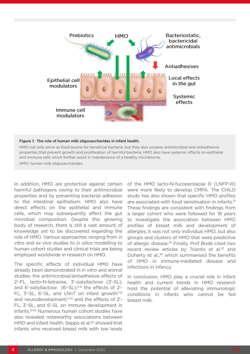

#### Figure 1: The role of human milk oligosaccharides in infant health.

HMO not only serve as food source for beneficial bacteria, but they also possess antimicrobial and antiadhesive properties that prevent growth and proliferation of harmful bacteria. HMO also have systemic effects on epithelial and immune cells which further assist in maintenance of a healthy microbiome.

HMO: human milk oligosaccharides.

In addition, HMO are protective against certain harmful pathogens owing to their antimicrobial properties and by preventing bacterial adhesion to the intestinal epithelium. HMO also have direct effects on the epithelial and immune cells, which may subsequently affect the gut microbial composition. Despite this growing body of research, there is still a vast amount of knowledge yet to be discovered regarding the role of HMO. Various approaches ranging from *in vitro* and *ex vivo* studies to *in silico* modelling to human cohort studies and clinical trials are being employed worldwide in research on HMO.

The specific effects of individual HMO have already been demonstrated in *in vitro* and animal studies: the antimicrobial/antiadhesive effects of 2'-FL, lacto-N-tetraose, 3'-sialyllactose (3'-SL), and 6'-sialyllactose  $(6'-SL)$ ;<sup>4-6</sup> the effects of 2'-FL, 3'-SL, 6'-SL, and LNnT on infant growth<sup>7-10</sup> and neurodevelopment;<sup>11-14</sup> and the effects of 2'-FL, 3'-SL, and 6'-SL on immune development in infants.15-19 Numerous human cohort studies have also revealed noteworthy associations between HMO and infant health. Seppo et al.<sup>20</sup> showed that infants who received breast milk with low levels of the HMO lacto-N-fucopentaose III (LNFP-III) were more likely to develop CMPA. The CHILD study has also shown that specific HMO profiles are associated with food sensitisation in infants.<sup>21</sup> These findings are consistent with findings from a larger cohort who were followed for 18 years to investigate the association between HMO profiles of breast milk and development of allergies; it was not only individual HMO, but also groups and clusters of HMO that were predictive of allergic disease.<sup>22</sup> Finally, Prof Bode cited two recent review articles by Triantis et al.<sup>23</sup> and Doherty et al., $24$  which summarised the benefits of HMO in immune-mediated disease and infections in infancy.

In conclusion, HMO play a crucial role in infant health and current trends in HMO research hold the potential of alleviating immunologic conditions in infants who cannot be fed breast milk.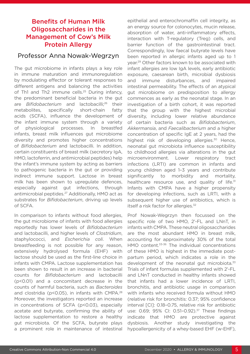## Benefits of Human Milk Oligosaccharides in the Management of Cow's Milk Protein Allergy

#### Professor Anna Nowak-Wegrzyn

The gut microbiome in infants plays a key role in immune maturation and immunoregulation by modulating effector or tolerant responses to different antigens and balancing the activities of Th1 and Th2 immune cells.<sup>25</sup> During infancy, the predominant beneficial bacteria in the gut are *Bifidobacterium* and lactobacilli;<sup>26</sup> their metabolites, specifically short-chain fatty acids (SCFA), influence the development of the infant immune system through a variety of physiological processes. In breastfed infants, breast milk influences gut microbiome diversity and promotes higher concentrations of *Bifidobacterium* and lactobacilli. In addition, certain constituents of breast milk (secretory IgA, HMO, lactoferrin, and antimicrobial peptides) help the infant's immune system by acting as barriers to pathogenic bacteria in the gut or providing indirect immune support. Lactose in breast milk has been shown to upregulate defences, especially against gut infections, through antimicrobial peptides.27 Additionally, HMO act as substrates for *Bifidobacterium*, driving up levels of SCFA.

In comparison to infants without food allergies, the gut microbiome of infants with food allergies reportedly has lower levels of *Bifidobacterium* and lactobacilli, and higher levels of *Clostridium*, staphylococci, and *Escherichia coli*. When breastfeeding is not possible for any reason, extensively hydrolysed formula (EHF) with lactose should be used as the first-line choice in infants with CMPA. Lactose supplementation has been shown to result in an increase in bacterial counts for *Bifidobacterium* and lactobacilli (p<0.01) and a concomitant decrease in the counts of harmful bacteria, such as *Bacteroides* and clostridia (p<0.05), in infants with CMPA.<sup>28</sup> Moreover, the investigators reported an increase in concentrations of SCFA (p<0.03), especially acetate and butyrate, confirming the ability of lactose supplementation to restore a healthy gut microbiota. Of the SCFA, butyrate plays a prominent role in maintenance of intestinal

epithelial and enterochromaffin cell integrity, as an energy source for colonocytes, mucin release, absorption of water, anti-inflammatory effects, interaction with T-regulatory (Treg) cells, and barrier function of the gastrointestinal tract. Correspondingly, low faecal butyrate levels have been reported in allergic infants aged up to 1 year.29 Other factors known to be associated with infant allergies are low IgA levels, early antibiotic exposure, caesarean birth, microbial dysbiosis and immune disturbances, and impaired intestinal permeability. The effects of an atypical gut microbiome on predisposition to allergy commences as early as the neonatal stage. In an investigation of a birth cohort, it was reported that the group with the highest microbial diversity, including lower relative abundance of certain bacteria such as *Bifidobacterium*, *Akkermansia*, and *Faecalibacterium* and a higher concentration of specific IgE at 2 years, had the highest risk of developing allergies.<sup>30</sup> Hence, neonatal gut microbiota influence susceptibility to childhood allergies via alterations in the gut microenvironment. Lower respiratory tract infections (LRTI) are common in infants and young children aged 1–3 years and contribute significantly to morbidity and mortality, healthcare resource use, and quality of life.<sup>31</sup> Infants with CMPA have a higher propensity for developing infections, such as LRTI, with a subsequent higher use of antibiotics, which is itself a risk factor for allergies.<sup>32</sup>

Prof Nowak-Wegrzyn then focussed on the specific role of two HMO, 2'-FL and LNnT, in infants with CMPA. These neutral oligosaccharides are the most abundant HMO in breast milk, accounting for approximately 30% of the total HMO content.<sup>33-36</sup> The individual concentrations of these HMO is highest in the immediate postpartum period, which indicates a role in the development of the neonatal gut microbiota.<sup>33</sup> Trials of infant formulas supplemented with 2'-FL and LNnT conducted in healthy infants showed that infants had a lower incidence of LRTI, bronchitis, and antibiotic usage in comparison with infants who received formula without HMO (relative risk for bronchitis: 0.37; 95% confidence interval [CI]: 0.18–0.75, relative risk for antibiotic use: 0.69; 95% CI: 0.51-0.92).<sup>37</sup> These findings indicate that HMO are protective against dysbiosis. Another study investigating the hypoallergenicity of a whey-based EHF (w-EHF),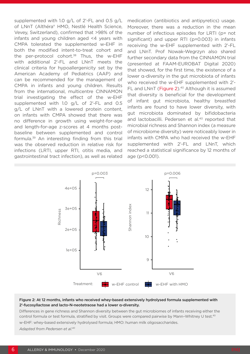supplemented with 1.0 g/L of 2'-FL and 0.5 g/L of LNnT (Althéra® HMO, Nestlé Health Science, Vevey, Switzerland), confirmed that >98% of the infants and young children aged <4 years with CMPA tolerated the supplemented w-EHF in both the modified intent-to-treat cohort and the per-protocol cohort. $38$  Thus, the w-EHF with additional 2'-FL and LNnT meets the clinical criteria for hypoallergenicity set by the American Academy of Pediatrics (AAP) and can be recommended for the management of CMPA in infants and young children. Results from the international, multicentre CINNAMON trial investigating the effect of the w-EHF supplemented with 1.0 g/L of 2'-FL and 0.5 g/L of LNnT with a lowered protein content, on infants with CMPA showed that there was no difference in growth using weight-for-age and length-for-age z-scores at 4 months postbaseline between supplemented and control formula.39 An interesting finding from this trial was the observed reduction in relative risk for infections (LRTI, upper RTI, otitis media, and gastrointestinal tract infection), as well as related

medication (antibiotics and antipyretics) usage. Moreover, there was a reduction in the mean number of infectious episodes for LRTI (p= not significant) and upper RTI (p=0.003) in infants receiving the w-EHF supplemented with 2'-FL and LNnT. Prof Nowak-Wegrzyn also shared further secondary data from the CINNAMON trial (presented at FAAM-EUROBAT Digital 2020) that showed, for the first time, the existence of a lower α-diversity in the gut microbiota of infants who received the w-EHF supplemented with 2'- FL and LNnT (Figure 2).<sup>40</sup> Although it is assumed that diversity is beneficial for the development of infant gut microbiota, healthy breastfed infants are found to have lower diversity, with gut microbiota dominated by bifidobacteria and lactobacilli. Pedersen et al.<sup>40</sup> reported that microbial richness and Shannon index (a measure of microbiome diversity) were noticeably lower in infants with CMPA who had received the w-EHF supplemented with 2'-FL and LNnT, which reached a statistical significance by 12 months of age (p<0.001).



#### Figure 2: At 12 months, infants who received whey-based extensively hydrolysed formula supplemented with 2'-fucosyllactose and lacto-N-neotetraose had a lower α-diversity.

Differences in gene richness and Shannon diversity between the gut microbiomes of infants receiving either the control formula or test formula, stratified by visit. Groups were compared pairwise by Mann–Whitney U test.40

w-EHF: whey-based extensively hydrolysed formula; HMO: human milk oligosaccharides.

*Adapted from Pedersen et al.40*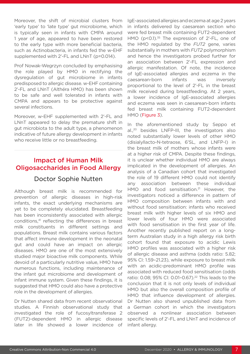Moreover, the shift of microbial clusters from 'early type' to 'late type' gut microbiome, which is typically seen in infants with CMPA around 1 year of age, appeared to have been restored to the early type with more beneficial bacteria, such as Actinobacteria, in infants fed the w-EHF supplemented with 2'-FL and LNnT (p=0.014).

Prof Nowak-Wegrzyn concluded by emphasising the role played by HMO in rectifying the dysregulation of gut microbiome in infants predisposed to allergic disease. w-EHF containing 2'-FL and LNnT (Althéra HMO) has been shown to be safe and well tolerated in infants with CMPA and appears to be protective against several infections.

Moreover, w-EHF supplemented with 2'-FL and LNnT appeared to delay the premature shift in gut microbiota to the adult type, a phenomenon indicative of future allergy development in infants who receive little or no breastfeeding.

## Impact of Human Milk Oligosaccharides in Food Allergy

## Doctor Sophie Nutten

Although breast milk is recommended for prevention of allergic diseases in high-risk infants, the exact underlying mechanisms are yet to be completely elucidated. Breastfeeding has been inconsistently associated with allergic conditions,41 reflecting the differences in breast milk constituents in different settings and populations. Breast milk contains various factors that affect immune development in the neonatal gut and could have an impact on allergic diseases. HMO are one of the most extensively studied major bioactive milk components. While devoid of a particularly nutritive value, HMO have numerous functions, including maintenance of the infant gut microbiome and development of infant immune system. Given these findings, it is suggested that HMO could also have a protective role in the development of allergies.

Dr Nutten shared data from recent observational studies. A Finnish observational study that investigated the role of fucosyltransferase 2 (FUT2)-dependent HMO in allergic disease later in life showed a lower incidence of IgE-associated allergies and eczema at age 2 years in infants delivered by caesarean section who were fed breast milk containing FUT2-dependent HMO (p<0.1).<sup>35</sup> The expression of 2'-FL, one of the HMO regulated by the *FUT2* gene, varies substantially in mothers with *FUT2* polymorphism and hence the investigators probed further for an association between 2'-FL expression and allergic manifestation. Of note, the incidence of IgE-associated allergies and eczema in the caesarean-born infants was inversely proportional to the level of 2'-FL in the breast milk received during breastfeeding. At 2 years, a lower incidence of IgE-associated allergies and eczema was seen in caesarean-born infants fed breast milk containing FUT2-dependent HMO (Figure 3).

In the aforementioned study by Seppo et al.,20 besides LNFP-III, the investigators also noted substantially lower levels of other HMO (disialyllacto-N-tetraose, 6'SL, and LNFP-I) in the breast milk of mothers whose infants were at a higher risk of CMPA. Despite these findings, it is unclear whether individual HMO are always implicated in the development of allergies. An analysis of a Canadian cohort that investigated the role of 19 different HMO could not identify any association between these individual HMO and food sensitisation.<sup>21</sup> However, the investigators noticed a difference in pattern of HMO composition between infants with and without food sensitisation: infants who received breast milk with higher levels of six HMO and lower levels of four HMO were associated with food sensitisation in the first year of life. Another recently published report on a longterm Australian study in a high allergy risk birth cohort found that exposure to acidic Lewis HMO profiles was associated with a higher risk of allergic disease and asthma (odds ratio: 5.82; 95% CI: 1.59–21.23), while exposure to breast milk with an acidic-predominant HMO profile was associated with reduced food sensitisation (odds ratio: 0.08; 95% CI: 0.01–0.67).22 This leads to the conclusion that it is not only levels of individual HMO but also the overall composition profile of HMO that influence development of allergies. Dr Nutten also shared unpublished data from a German cohort in which the investigators observed a nonlinear association between specific levels of 2'-FL and LNnT and incidence of infant allergy.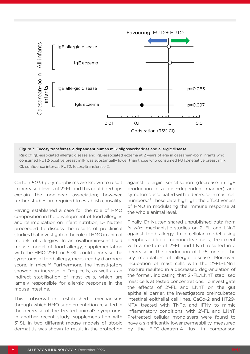

Figure 3: Fucosyltransferase 2-dependent human milk oligosaccharides and allergic disease.

Risk of IgE-associated allergic disease and IgE-associated eczema at 2 years of age in caesarean-born infants who consumed FUT2-positive breast milk was substantially lower than those who consumed FUT2-negative breast milk. CI: confidence interval; FUT2: fucosyltransferase 2.

Certain *FUT3* polymorphisms are known to result in increased levels of 2'-FL and this could perhaps explain the nonlinear association; however, further studies are required to establish causality.

Having established a case for the role of HMO composition in the development of food allergies and its implication on infant nutrition, Dr Nutten proceeded to discuss the results of preclinical studies that investigated the role of HMO in animal models of allergies. In an ovalbumin-sensitised mouse model of food allergy, supplementation with the HMO 2'-FL or 6'-SL could decrease the symptoms of food allergy, measured by diarrhoea score, in mice.<sup>42</sup> Furthermore, the investigators showed an increase in Treg cells, as well as an indirect stabilisation of mast cells, which are largely responsible for allergic response in the mouse intestine.

This observation established mechanisms through which HMO supplementation resulted in the decrease of the treated animal's symptoms. In another recent study, supplementation with 3'-SL in two different mouse models of atopic dermatitis was shown to result in the protection against allergic sensitisation (decrease in IgE production in a dose-dependent manner) and symptoms associated with a decrease in mast cell numbers.43 These data highlight the effectiveness of HMO in modulating the immune response at the whole animal level.

Finally, Dr Nutten shared unpublished data from *in vitro* mechanistic studies on 2'-FL and LNnT against food allergy. In a cellular model using peripheral blood mononuclear cells, treatment with a mixture of 2'-FL and LNnT resulted in a decrease in the production of IL-5, one of the key modulators of allergic disease. Moreover, incubation of mast cells with the 2'-FL–LNnT mixture resulted in a decreased degranulation of the former, indicating that 2'-FL/LNnT stabilised mast cells at tested concentrations. To investigate the effects of 2'-FL and LNnT on the gut epithelial barrier, the investigators preincubated intestinal epithelial cell lines, CaCo-2 and HT29- MTX treated with TNFα and IFNγ to mimic inflammatory conditions, with 2'-FL and LNnT. Pretreated cellular monolayers were found to have a significantly lower permeability, measured by the FITC-dextran-4 flux, in comparison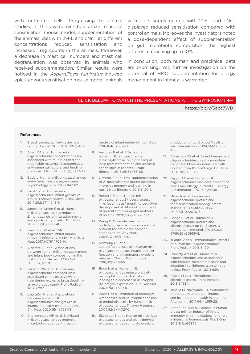with untreated cells. Progressing to animal with diets supplemented with 2'-FL and LNnT studies, in the ovalbumin-choleratoxin mucosal sensitisation mouse model, supplementation of the animals' diet with 2'-FL and LNnT at different concentrations reduced sensitisation and increased Treg counts in the animals. Moreover, a decrease in mast cell numbers and mast cell degranulation was observed in animals who received supplementation. Similar results were noticed in the *Aspergillosis fumigatus*-induced epicutaneous sensitisation mouse model; animals

displayed reduced sensitisation compared with control animals. Moreover, the investigators noted a dose-dependent effect of supplementation on gut microbiota composition, the highest difference reaching up to 10%.

In conclusion, both human and preclinical data are promising. Yet, further investigation on the potential of HMO supplementation for allergy management in infancy is warranted.

#### CLICK BELOW TO WATCH THE PRESENTATIONS AT THE SYMPOSIUM  $\leftarrow$

#### https://bit.ly/3abc7WD

#### References

- 1. Breastfeeding: achieving the new normal. Lancet. 2016;387(10017):404.
- 2. Azad MA et al. Human milk oligosaccharide concentrations are associated with multiple fixed and modifiable maternal characteristics, environmental factors, and feeding practices. J Nutr. 2018;148(11):1733-42.
- 3. Bode L. Human milk oligosaccharides: every baby needs a sugar mama. Glycobiology. 2012;22(9):1147-62.
- 4. Lin AE et al. Human milk oligosaccharides inhibit growth of group B *Streptococcus*. J Biol Chem. 2017;292(27):11243-9.
- 5. Jantscher-Krenn E et al. Human milk oligosaccharides reduced *Entamoeba histolytica* attachment and cytotoxicity *in vitro*. Br J Nutr. 2012;108(10):1839-46.
- 6. Laucirica DR et al. Milk oligosaccharides inhibit human rotavirus infectivity in MA104 cells. J Nutr. 2017;147(9):1709-14.
- 7. Alderete TL et al. Associations between human milk oligosaccharides and infant body composition in the first 6 mo of life. Am J Clin Nutr. 2015;102(6):1381-8.
- 8. Larsson MW et al. Human milk oligosaccharide composition is associated with excessive weight gain during exclusive breastfeeding– an explorative study. Front Pediatr. 2019;7:297.
- 9. Lagström H et al. Associations between human milk oligosaccharides and growth in infancy and early childhood. Am J Clin Nutr. 2020;111(4):769-78.
- 10. Charbonneau MR et al. Sialylated milk oligosaccharides promote microbiota-dependent growth in

models of infant undernutrition. Cell. 2016;164(5):859-71.

- 11. Vázquez E et al. Effects of a human milk oligosaccharide, 2'-fucosyllactose, on hippocampal long-term potentiation and learning capabilities in rodents. J Nutr Biochem. 2015;26(5):455-65.
- 12. Oliveros E et al. Oral supplementation of 2'-fucosyllactose during lactation improves memory and learning in rats. J Nutr Biochem. 2016;31:20-7.
- 13. Berger PK et al. Human milk oligosaccharide 2'-fucosyllactose links feedings at 1 month to cognitive development at 24 months in infants of normal and overweight mothers. PLoS One. 2020;15(2):e0228323.
- 14. Wang B. Molecular mechanism underlying sialic acid as an essential nutrient for brain development and cognition. Adv Nutr. 2012;3(3):465S-72S.
- 15. Newburg DS et al. Lactodifucotetrasose, a human milk oligosaccharide, attenuates platelet function and inflammatory cytokine release. J Throm Thrombolysis. 2016;42(1):46-55.
- 16. Bode L et al. Human milk oligosaccharides reduce plateletneutrophil complex formation leading to a decrease in neutrophil β2 integrin expression. J Leukoc Biol. 2004;76(4):820-6.
- 17. Bode L et al. Inhibition of monocyte, lymphocyte, and neutrophil adhesion to endothelial cells by human milk oligosaccharides. Thromb Haemost. 2004;92(6):1402-10.
- 18. Eiwegger T et al. Human milk-derived oligosaccharides and plant-derived oligosaccharides stimulate cytokine

production of cord blood T-cells *in vitro*. Pediatr Res. 2004;56(4):536- 40.

- 19. Cornstock SS et al. Select human milk oligosaccharides directly modulate peripheral blood mononuclear cells isolated from 10-d-old pigs. Br J Nutr. 2014;111(5):819-28.
- 20. Seppo AE et al. Human milk oligosaccharides and development of cow's milk allergy in infants. J Allergy Clin Immunol. 2017;139(2):708-11.
- 21. Miliku K et al. Human milk oligosaccharide profiles and food sensitization among infants in the CHILD study. Allergy. 2018;73(10):2070-3.
- 22. Lodge CJ et al. Human milk oligosaccharide profiles and allergic disease up to 18 years. J Allergy Clin Immunol. 2020;S0091- 6749(20):30956-8.
- 23. Triantis V et al. Immunological effects of human milk oligosaccharides. Front Pediatr. 2018;6:190.
- 24. Doherty AM et al. Human milk oligosaccharides and associations with immune-mediated disease and infection in childhood: a systematic review. Front Pediatr. 2018;6:91.
- 25. Pascal M et al. Microbiome and allergic diseases. Front Immunol. 2018;9:1584.
- 26. Tanaka M, Nakayama J. Development of the gut microbiota in infancy and its impact on health in later life. Allergol Int. 2017;66(4):515-22.
- 27. Cederlund A et al. Lactose in human breast milk an inducer of innate immunity with implications for a role in intestinal homeostasis. PLoS One. 2013;8(1):e53876.